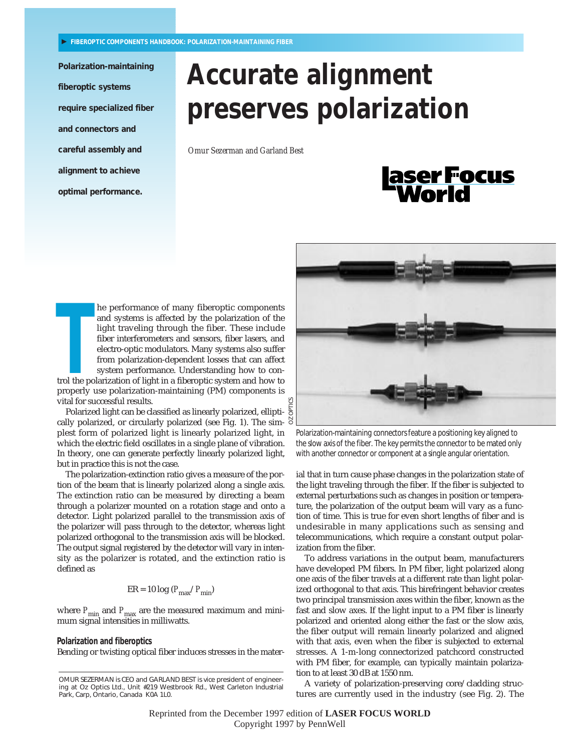**Polarization-maintaining fiberoptic systems require specialized fiber and connectors and careful assembly and alignment to achieve optimal performance.**

# **Accurate alignment preserves polarization**

*Omur Sezerman and Garland Best*

# |aserFocus<br>| World

**THE PERITE ISSUE THE PERITMON THE PERITMON IN THE PRESENTATION OF THE PRESENTATION OF THE PRESENTING THE PRESENTATION OF THE PRESENTING PRESENTATION POLACY SYSTEM performance. Understanding how to control the polarization** and systems is affected by the polarization of the light traveling through the fiber. These include fiber interferometers and sensors, fiber lasers, and electro-optic modulators. Many systems also suffer from polarization-dependent losses that can affect system performance. Understanding how to control the polarization of light in a fiberoptic system and how to properly use polarization-maintaining (PM) components is vital for successful results.

Polarized light can be classified as linearly polarized, ellipti- $\frac{5}{9}$ cally polarized, or circularly polarized (see Fig. 1). The simplest form of polarized light is linearly polarized light, in which the electric field oscillates in a single plane of vibration. In theory, one can generate perfectly linearly polarized light, but in practice this is not the case.

The polarization-extinction ratio gives a measure of the portion of the beam that is linearly polarized along a single axis. The extinction ratio can be measured by directing a beam through a polarizer mounted on a rotation stage and onto a detector. Light polarized parallel to the transmission axis of the polarizer will pass through to the detector, whereas light polarized orthogonal to the transmission axis will be blocked. The output signal registered by the detector will vary in intensity as the polarizer is rotated, and the extinction ratio is defined as

$$
ER = 10 \log (P_{\text{max}}/P_{\text{min}})
$$

where  $P_{\text{min}}$  and  $P_{\text{max}}$  are the measured maximum and minimum signal intensities in milliwatts.

## **Polarization and fiberoptics**

Bending or twisting optical fiber induces stresses in the mater-



Polarization-maintaining connectors feature a positioning key aligned to the slow axis of the fiber. The key permits the connector to be mated only with another connector or component at a single angular orientation.

ial that in turn cause phase changes in the polarization state of the light traveling through the fiber. If the fiber is subjected to external perturbations such as changes in position or temperature, the polarization of the output beam will vary as a function of time. This is true for even short lengths of fiber and is undesirable in many applications such as sensing and telecommunications, which require a constant output polarization from the fiber.

To address variations in the output beam, manufacturers have developed PM fibers. In PM fiber, light polarized along one axis of the fiber travels at a different rate than light polarized orthogonal to that axis. This birefringent behavior creates two principal transmission axes within the fiber, known as the fast and slow axes. If the light input to a PM fiber is linearly polarized and oriented along either the fast or the slow axis, the fiber output will remain linearly polarized and aligned with that axis, even when the fiber is subjected to external stresses. A 1-m-long connectorized patchcord constructed with PM fiber, for example, can typically maintain polarization to at least 30 dB at 1550 nm.

A variety of polarization-preserving core/cladding structures are currently used in the industry (see Fig. 2). The

Reprinted from the December 1997 edition of **LASER FOCUS WORLD** Copyright 1997 by PennWell

OMUR SEZERMAN is CEO and GARLAND BEST is vice president of engineering at Oz Optics Ltd., Unit #219 Westbrook Rd., West Carleton Industrial Park, Carp, Ontario, Canada K0A 1L0.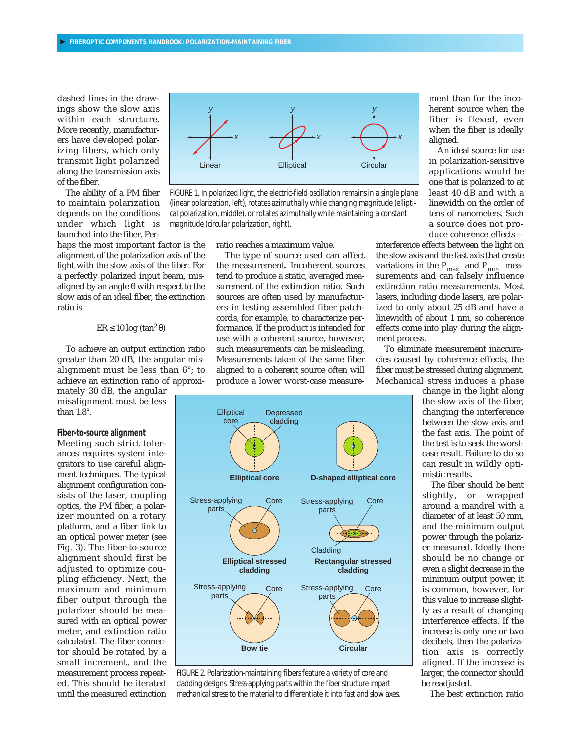dashed lines in the drawings show the slow axis within each structure. More recently, manufacturers have developed polarizing fibers, which only transmit light polarized along the transmission axis of the fiber.

The ability of a PM fiber to maintain polarization depends on the conditions under which light is launched into the fiber. Per-

haps the most important factor is the alignment of the polarization axis of the light with the slow axis of the fiber. For a perfectly polarized input beam, misaligned by an angle θ with respect to the slow axis of an ideal fiber, the extinction ratio is

# ER ≤ 10 log (tan2 θ)

To achieve an output extinction ratio greater than 20 dB, the angular misalignment must be less than 6°; to achieve an extinction ratio of approxi-

mately 30 dB, the angular misalignment must be less than 1.8°.

#### **Fiber-to-source alignment**

Meeting such strict tolerances requires system integrators to use careful alignment techniques. The typical alignment configuration consists of the laser, coupling optics, the PM fiber, a polarizer mounted on a rotary platform, and a fiber link to an optical power meter (see Fig. 3). The fiber-to-source alignment should first be adjusted to optimize coupling efficiency. Next, the maximum and minimum fiber output through the polarizer should be measured with an optical power meter, and extinction ratio calculated. The fiber connector should be rotated by a small increment, and the measurement process repeated. This should be iterated until the measured extinction



FIGURE 1. In polarized light, the electric-field oscillation remains in a single plane (linear polarization, left), rotates azimuthally while changing magnitude (elliptical polarization, middle), or rotates azimuthally while maintaining a constant magnitude (circular polarization, right).

ratio reaches a maximum value.

The type of source used can affect the measurement. Incoherent sources tend to produce a static, averaged measurement of the extinction ratio. Such sources are often used by manufacturers in testing assembled fiber patchcords, for example, to characterize performance. If the product is intended for use with a coherent source, however, such measurements can be misleading. Measurements taken of the same fiber aligned to a coherent source often will produce a lower worst-case measure-



An ideal source for use in polarization-sensitive applications would be one that is polarized to at least 40 dB and with a linewidth on the order of tens of nanometers. Such a source does not produce coherence effects—

interference effects between the light on the slow axis and the fast axis that create variations in the  $P_{\text{max}}$  and  $P_{\text{min}}$  measurements and can falsely influence extinction ratio measurements. Most lasers, including diode lasers, are polarized to only about 25 dB and have a linewidth of about 1 nm, so coherence effects come into play during the alignment process.

To eliminate measurement inaccuracies caused by coherence effects, the fiber must be stressed during alignment. Mechanical stress induces a phase

change in the light along the slow axis of the fiber, changing the interference between the slow axis and the fast axis. The point of the test is to seek the worstcase result. Failure to do so can result in wildly optimistic results.

The fiber should be bent slightly, or wrapped around a mandrel with a diameter of at least 50 mm, and the minimum output power through the polarizer measured. Ideally there should be no change or even a slight decrease in the minimum output power; it is common, however, for this value to increase slightly as a result of changing interference effects. If the increase is only one or two decibels, then the polarization axis is correctly aligned. If the increase is larger, the connector should be readjusted.

The best extinction ratio



cladding designs. Stress-applying parts within the fiber structure impart mechanical stress to the material to differentiate it into fast and slow axes.